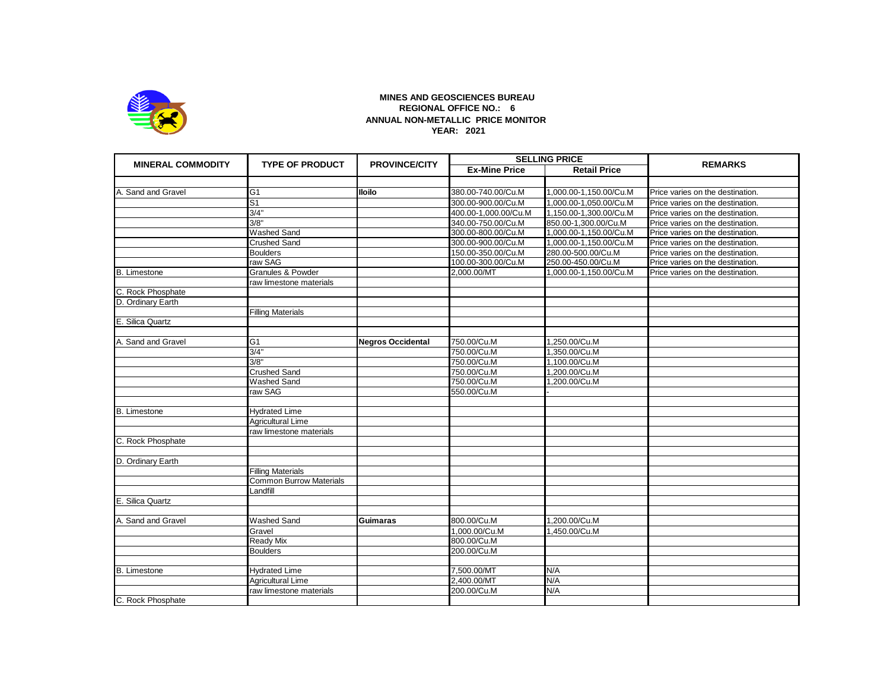

## **MINES AND GEOSCIENCES BUREAU REGIONAL OFFICE NO.: 6 ANNUAL NON-METALLIC PRICE MONITOR YEAR: 2021**

| <b>MINERAL COMMODITY</b> | <b>TYPE OF PRODUCT</b>         | <b>PROVINCE/CITY</b>     | <b>SELLING PRICE</b> |                        | <b>REMARKS</b>                   |
|--------------------------|--------------------------------|--------------------------|----------------------|------------------------|----------------------------------|
|                          |                                |                          | <b>Ex-Mine Price</b> | <b>Retail Price</b>    |                                  |
|                          |                                |                          |                      |                        |                                  |
| A. Sand and Gravel       | G <sub>1</sub>                 | <b>Iloilo</b>            | 380.00-740.00/Cu.M   | 1,000.00-1,150.00/Cu.M | Price varies on the destination. |
|                          | S <sub>1</sub>                 |                          | 300.00-900.00/Cu.M   | 1,000.00-1,050.00/Cu.M | Price varies on the destination. |
|                          | 3/4"                           |                          | 400.00-1,000.00/Cu.M | 1,150.00-1,300.00/Cu.M | Price varies on the destination. |
|                          | $\frac{3}{8}$                  |                          | 340.00-750.00/Cu.M   | 850.00-1,300.00/Cu.M   | Price varies on the destination. |
|                          | <b>Washed Sand</b>             |                          | 300.00-800.00/Cu.M   | 1,000.00-1,150.00/Cu.M | Price varies on the destination. |
|                          | <b>Crushed Sand</b>            |                          | 300.00-900.00/Cu.M   | 1,000.00-1,150.00/Cu.M | Price varies on the destination. |
|                          | <b>Boulders</b>                |                          | 150.00-350.00/Cu.M   | 280.00-500.00/Cu.M     | Price varies on the destination. |
|                          | raw SAG                        |                          | 100.00-300.00/Cu.M   | 250.00-450.00/Cu.M     | Price varies on the destination. |
| <b>B.</b> Limestone      | <b>Granules &amp; Powder</b>   |                          | 2,000.00/MT          | 1,000.00-1,150.00/Cu.M | Price varies on the destination. |
|                          | raw limestone materials        |                          |                      |                        |                                  |
| C. Rock Phosphate        |                                |                          |                      |                        |                                  |
| D. Ordinary Earth        |                                |                          |                      |                        |                                  |
|                          | <b>Filling Materials</b>       |                          |                      |                        |                                  |
| E. Silica Quartz         |                                |                          |                      |                        |                                  |
|                          |                                |                          |                      |                        |                                  |
| A. Sand and Gravel       | G <sub>1</sub>                 | <b>Negros Occidental</b> | 750.00/Cu.M          | 1,250.00/Cu.M          |                                  |
|                          | 3/4"                           |                          | 750.00/Cu.M          | 1,350.00/Cu.M          |                                  |
|                          | 3/8"                           |                          | 750.00/Cu.M          | 1,100.00/Cu.M          |                                  |
|                          | <b>Crushed Sand</b>            |                          | 750.00/Cu.M          | 1,200.00/Cu.M          |                                  |
|                          | <b>Washed Sand</b>             |                          | 750.00/Cu.M          | 1,200.00/Cu.M          |                                  |
|                          | raw SAG                        |                          | 550.00/Cu.M          |                        |                                  |
|                          |                                |                          |                      |                        |                                  |
| <b>B.</b> Limestone      | <b>Hydrated Lime</b>           |                          |                      |                        |                                  |
|                          | Agricultural Lime              |                          |                      |                        |                                  |
|                          | raw limestone materials        |                          |                      |                        |                                  |
| C. Rock Phosphate        |                                |                          |                      |                        |                                  |
|                          |                                |                          |                      |                        |                                  |
| D. Ordinary Earth        |                                |                          |                      |                        |                                  |
|                          | <b>Filling Materials</b>       |                          |                      |                        |                                  |
|                          | <b>Common Burrow Materials</b> |                          |                      |                        |                                  |
|                          | Landfill                       |                          |                      |                        |                                  |
| E. Silica Quartz         |                                |                          |                      |                        |                                  |
|                          |                                |                          |                      |                        |                                  |
| A. Sand and Gravel       | <b>Washed Sand</b>             | <b>Guimaras</b>          | 800.00/Cu.M          | 1,200.00/Cu.M          |                                  |
|                          | Gravel                         |                          | 1,000.00/Cu.M        | 1,450.00/Cu.M          |                                  |
|                          | Ready Mix                      |                          | 800.00/Cu.M          |                        |                                  |
|                          | <b>Boulders</b>                |                          | 200.00/Cu.M          |                        |                                  |
|                          |                                |                          |                      |                        |                                  |
| <b>B.</b> Limestone      | <b>Hydrated Lime</b>           |                          | 7,500.00/MT          | N/A                    |                                  |
|                          | Agricultural Lime              |                          | 2,400.00/MT          | N/A                    |                                  |
|                          | raw limestone materials        |                          | 200.00/Cu.M          | N/A                    |                                  |
| C. Rock Phosphate        |                                |                          |                      |                        |                                  |